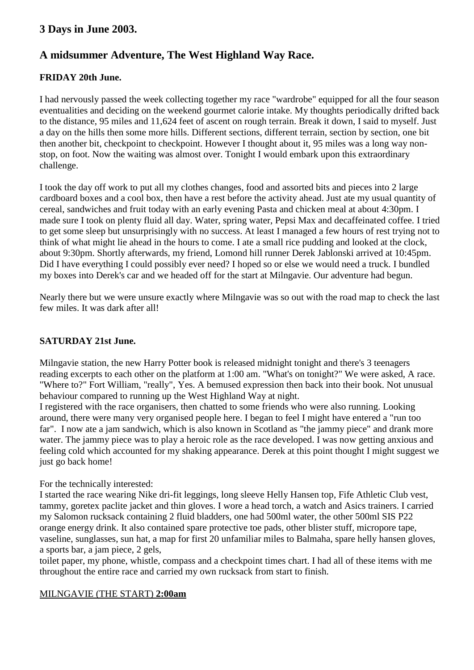# **3 Days in June 2003.**

# **A midsummer Adventure, The West Highland Way Race.**

## **FRIDAY 20th June.**

I had nervously passed the week collecting together my race "wardrobe" equipped for all the four season eventualities and deciding on the weekend gourmet calorie intake. My thoughts periodically drifted back to the distance, 95 miles and 11,624 feet of ascent on rough terrain. Break it down, I said to myself. Just a day on the hills then some more hills. Different sections, different terrain, section by section, one bit then another bit, checkpoint to checkpoint. However I thought about it, 95 miles was a long way nonstop, on foot. Now the waiting was almost over. Tonight I would embark upon this extraordinary challenge.

I took the day off work to put all my clothes changes, food and assorted bits and pieces into 2 large cardboard boxes and a cool box, then have a rest before the activity ahead. Just ate my usual quantity of cereal, sandwiches and fruit today with an early evening Pasta and chicken meal at about 4:30pm. I made sure I took on plenty fluid all day. Water, spring water, Pepsi Max and decaffeinated coffee. I tried to get some sleep but unsurprisingly with no success. At least I managed a few hours of rest trying not to think of what might lie ahead in the hours to come. I ate a small rice pudding and looked at the clock, about 9:30pm. Shortly afterwards, my friend, Lomond hill runner Derek Jablonski arrived at 10:45pm. Did I have everything I could possibly ever need? I hoped so or else we would need a truck. I bundled my boxes into Derek's car and we headed off for the start at Milngavie. Our adventure had begun.

Nearly there but we were unsure exactly where Milngavie was so out with the road map to check the last few miles. It was dark after all!

#### **SATURDAY 21st June.**

Milngavie station, the new Harry Potter book is released midnight tonight and there's 3 teenagers reading excerpts to each other on the platform at 1:00 am. "What's on tonight?" We were asked, A race. "Where to?" Fort William, "really", Yes. A bemused expression then back into their book. Not unusual behaviour compared to running up the West Highland Way at night.

I registered with the race organisers, then chatted to some friends who were also running. Looking around, there were many very organised people here. I began to feel I might have entered a "run too far". I now ate a jam sandwich, which is also known in Scotland as "the jammy piece" and drank more water. The jammy piece was to play a heroic role as the race developed. I was now getting anxious and feeling cold which accounted for my shaking appearance. Derek at this point thought I might suggest we just go back home!

#### For the technically interested:

I started the race wearing Nike dri-fit leggings, long sleeve Helly Hansen top, Fife Athletic Club vest, tammy, goretex paclite jacket and thin gloves. I wore a head torch, a watch and Asics trainers. I carried my Salomon rucksack containing 2 fluid bladders, one had 500ml water, the other 500ml SIS P22 orange energy drink. It also contained spare protective toe pads, other blister stuff, micropore tape, vaseline, sunglasses, sun hat, a map for first 20 unfamiliar miles to Balmaha, spare helly hansen gloves, a sports bar, a jam piece, 2 gels,

toilet paper, my phone, whistle, compass and a checkpoint times chart. I had all of these items with me throughout the entire race and carried my own rucksack from start to finish.

#### MILNGAVIE (THE START) **2:00am**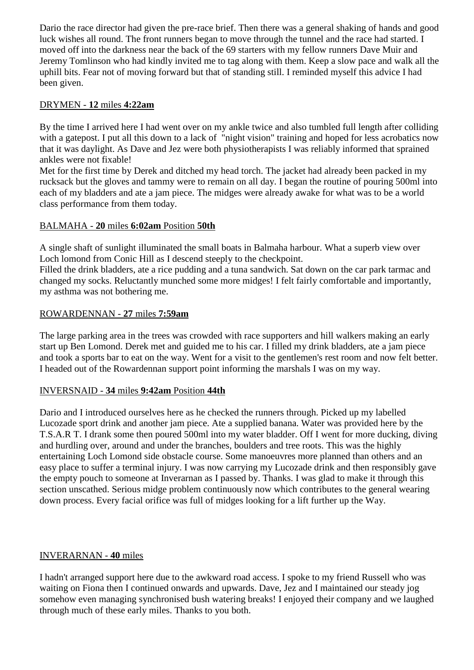Dario the race director had given the pre-race brief. Then there was a general shaking of hands and good luck wishes all round. The front runners began to move through the tunnel and the race had started. I moved off into the darkness near the back of the 69 starters with my fellow runners Dave Muir and Jeremy Tomlinson who had kindly invited me to tag along with them. Keep a slow pace and walk all the uphill bits. Fear not of moving forward but that of standing still. I reminded myself this advice I had been given.

#### DRYMEN - **12** miles **4:22am**

By the time I arrived here I had went over on my ankle twice and also tumbled full length after colliding with a gatepost. I put all this down to a lack of "night vision" training and hoped for less acrobatics now that it was daylight. As Dave and Jez were both physiotherapists I was reliably informed that sprained ankles were not fixable!

Met for the first time by Derek and ditched my head torch. The jacket had already been packed in my rucksack but the gloves and tammy were to remain on all day. I began the routine of pouring 500ml into each of my bladders and ate a jam piece. The midges were already awake for what was to be a world class performance from them today.

#### BALMAHA - **20** miles **6:02am** Position **50th**

A single shaft of sunlight illuminated the small boats in Balmaha harbour. What a superb view over Loch lomond from Conic Hill as I descend steeply to the checkpoint.

Filled the drink bladders, ate a rice pudding and a tuna sandwich. Sat down on the car park tarmac and changed my socks. Reluctantly munched some more midges! I felt fairly comfortable and importantly, my asthma was not bothering me.

#### ROWARDENNAN - **27** miles **7:59am**

The large parking area in the trees was crowded with race supporters and hill walkers making an early start up Ben Lomond. Derek met and guided me to his car. I filled my drink bladders, ate a jam piece and took a sports bar to eat on the way. Went for a visit to the gentlemen's rest room and now felt better. I headed out of the Rowardennan support point informing the marshals I was on my way.

#### INVERSNAID - **34** miles **9:42am** Position **44th**

Dario and I introduced ourselves here as he checked the runners through. Picked up my labelled Lucozade sport drink and another jam piece. Ate a supplied banana. Water was provided here by the T.S.A.R T. I drank some then poured 500ml into my water bladder. Off I went for more ducking, diving and hurdling over, around and under the branches, boulders and tree roots. This was the highly entertaining Loch Lomond side obstacle course. Some manoeuvres more planned than others and an easy place to suffer a terminal injury. I was now carrying my Lucozade drink and then responsibly gave the empty pouch to someone at Inverarnan as I passed by. Thanks. I was glad to make it through this section unscathed. Serious midge problem continuously now which contributes to the general wearing down process. Every facial orifice was full of midges looking for a lift further up the Way.

#### INVERARNAN - **40** miles

I hadn't arranged support here due to the awkward road access. I spoke to my friend Russell who was waiting on Fiona then I continued onwards and upwards. Dave, Jez and I maintained our steady jog somehow even managing synchronised bush watering breaks! I enjoyed their company and we laughed through much of these early miles. Thanks to you both.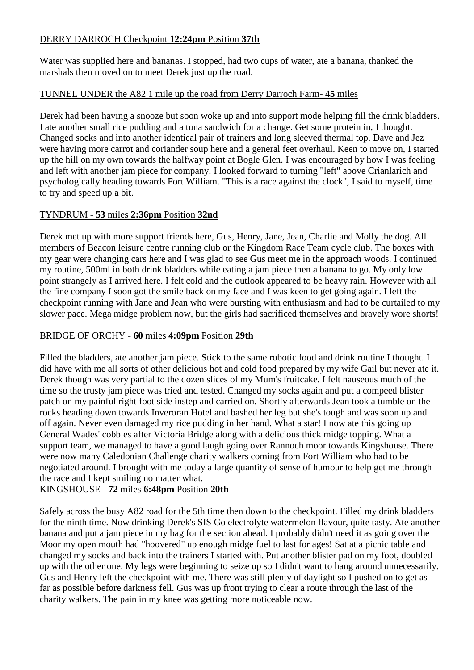## DERRY DARROCH Checkpoint **12:24pm** Position **37th**

Water was supplied here and bananas. I stopped, had two cups of water, ate a banana, thanked the marshals then moved on to meet Derek just up the road.

## TUNNEL UNDER the A82 1 mile up the road from Derry Darroch Farm- **45** miles

Derek had been having a snooze but soon woke up and into support mode helping fill the drink bladders. I ate another small rice pudding and a tuna sandwich for a change. Get some protein in, I thought. Changed socks and into another identical pair of trainers and long sleeved thermal top. Dave and Jez were having more carrot and coriander soup here and a general feet overhaul. Keen to move on, I started up the hill on my own towards the halfway point at Bogle Glen. I was encouraged by how I was feeling and left with another jam piece for company. I looked forward to turning "left" above Crianlarich and psychologically heading towards Fort William. "This is a race against the clock", I said to myself, time to try and speed up a bit.

## TYNDRUM - **53** miles **2:36pm** Position **32nd**

Derek met up with more support friends here, Gus, Henry, Jane, Jean, Charlie and Molly the dog. All members of Beacon leisure centre running club or the Kingdom Race Team cycle club. The boxes with my gear were changing cars here and I was glad to see Gus meet me in the approach woods. I continued my routine, 500ml in both drink bladders while eating a jam piece then a banana to go. My only low point strangely as I arrived here. I felt cold and the outlook appeared to be heavy rain. However with all the fine company I soon got the smile back on my face and I was keen to get going again. I left the checkpoint running with Jane and Jean who were bursting with enthusiasm and had to be curtailed to my slower pace. Mega midge problem now, but the girls had sacrificed themselves and bravely wore shorts!

#### BRIDGE OF ORCHY - **60** miles **4:09pm** Position **29th**

Filled the bladders, ate another jam piece. Stick to the same robotic food and drink routine I thought. I did have with me all sorts of other delicious hot and cold food prepared by my wife Gail but never ate it. Derek though was very partial to the dozen slices of my Mum's fruitcake. I felt nauseous much of the time so the trusty jam piece was tried and tested. Changed my socks again and put a compeed blister patch on my painful right foot side instep and carried on. Shortly afterwards Jean took a tumble on the rocks heading down towards Inveroran Hotel and bashed her leg but she's tough and was soon up and off again. Never even damaged my rice pudding in her hand. What a star! I now ate this going up General Wades' cobbles after Victoria Bridge along with a delicious thick midge topping. What a support team, we managed to have a good laugh going over Rannoch moor towards Kingshouse. There were now many Caledonian Challenge charity walkers coming from Fort William who had to be negotiated around. I brought with me today a large quantity of sense of humour to help get me through the race and I kept smiling no matter what.

# KINGSHOUSE - **72** miles **6:48pm** Position **20th**

Safely across the busy A82 road for the 5th time then down to the checkpoint. Filled my drink bladders for the ninth time. Now drinking Derek's SIS Go electrolyte watermelon flavour, quite tasty. Ate another banana and put a jam piece in my bag for the section ahead. I probably didn't need it as going over the Moor my open mouth had "hoovered" up enough midge fuel to last for ages! Sat at a picnic table and changed my socks and back into the trainers I started with. Put another blister pad on my foot, doubled up with the other one. My legs were beginning to seize up so I didn't want to hang around unnecessarily. Gus and Henry left the checkpoint with me. There was still plenty of daylight so I pushed on to get as far as possible before darkness fell. Gus was up front trying to clear a route through the last of the charity walkers. The pain in my knee was getting more noticeable now.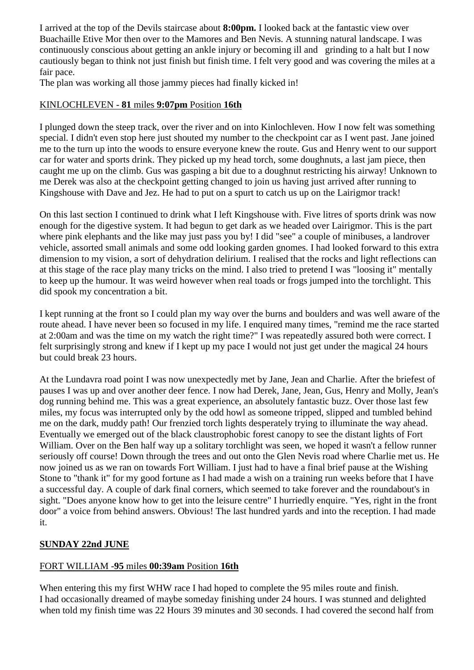I arrived at the top of the Devils staircase about **8:00pm.** I looked back at the fantastic view over Buachaille Etive Mor then over to the Mamores and Ben Nevis. A stunning natural landscape. I was continuously conscious about getting an ankle injury or becoming ill and grinding to a halt but I now cautiously began to think not just finish but finish time. I felt very good and was covering the miles at a fair pace.

The plan was working all those jammy pieces had finally kicked in!

## KINLOCHLEVEN - **81** miles **9:07pm** Position **16th**

I plunged down the steep track, over the river and on into Kinlochleven. How I now felt was something special. I didn't even stop here just shouted my number to the checkpoint car as I went past. Jane joined me to the turn up into the woods to ensure everyone knew the route. Gus and Henry went to our support car for water and sports drink. They picked up my head torch, some doughnuts, a last jam piece, then caught me up on the climb. Gus was gasping a bit due to a doughnut restricting his airway! Unknown to me Derek was also at the checkpoint getting changed to join us having just arrived after running to Kingshouse with Dave and Jez. He had to put on a spurt to catch us up on the Lairigmor track!

On this last section I continued to drink what I left Kingshouse with. Five litres of sports drink was now enough for the digestive system. It had begun to get dark as we headed over Lairigmor. This is the part where pink elephants and the like may just pass you by! I did "see" a couple of minibuses, a landrover vehicle, assorted small animals and some odd looking garden gnomes. I had looked forward to this extra dimension to my vision, a sort of dehydration delirium. I realised that the rocks and light reflections can at this stage of the race play many tricks on the mind. I also tried to pretend I was "loosing it" mentally to keep up the humour. It was weird however when real toads or frogs jumped into the torchlight. This did spook my concentration a bit.

I kept running at the front so I could plan my way over the burns and boulders and was well aware of the route ahead. I have never been so focused in my life. I enquired many times, "remind me the race started at 2:00am and was the time on my watch the right time?" I was repeatedly assured both were correct. I felt surprisingly strong and knew if I kept up my pace I would not just get under the magical 24 hours but could break 23 hours.

At the Lundavra road point I was now unexpectedly met by Jane, Jean and Charlie. After the briefest of pauses I was up and over another deer fence. I now had Derek, Jane, Jean, Gus, Henry and Molly, Jean's dog running behind me. This was a great experience, an absolutely fantastic buzz. Over those last few miles, my focus was interrupted only by the odd howl as someone tripped, slipped and tumbled behind me on the dark, muddy path! Our frenzied torch lights desperately trying to illuminate the way ahead. Eventually we emerged out of the black claustrophobic forest canopy to see the distant lights of Fort William. Over on the Ben half way up a solitary torchlight was seen, we hoped it wasn't a fellow runner seriously off course! Down through the trees and out onto the Glen Nevis road where Charlie met us. He now joined us as we ran on towards Fort William. I just had to have a final brief pause at the Wishing Stone to "thank it" for my good fortune as I had made a wish on a training run weeks before that I have a successful day. A couple of dark final corners, which seemed to take forever and the roundabout's in sight. "Does anyone know how to get into the leisure centre" I hurriedly enquire. "Yes, right in the front door" a voice from behind answers. Obvious! The last hundred yards and into the reception. I had made it.

# **SUNDAY 22nd JUNE**

# FORT WILLIAM -**95** miles **00:39am** Position **16th**

When entering this my first WHW race I had hoped to complete the 95 miles route and finish. I had occasionally dreamed of maybe someday finishing under 24 hours. I was stunned and delighted when told my finish time was 22 Hours 39 minutes and 30 seconds. I had covered the second half from